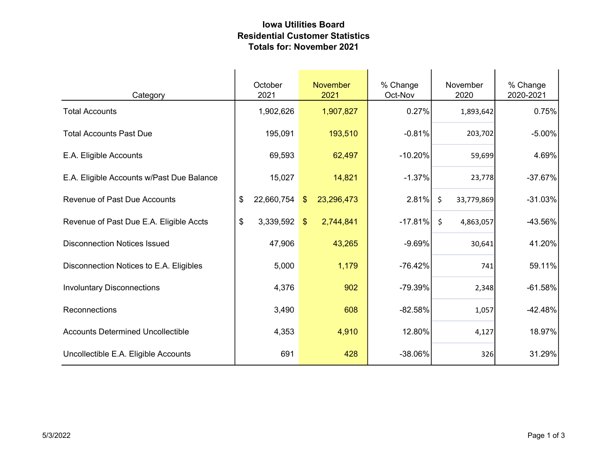## Iowa Utilities Board Residential Customer Statistics Totals for: November 2021

| Category                                  | October<br>2021  | <b>November</b><br>2021     | % Change<br>Oct-Nov | November<br>2020      | % Change<br>2020-2021 |
|-------------------------------------------|------------------|-----------------------------|---------------------|-----------------------|-----------------------|
| <b>Total Accounts</b>                     | 1,902,626        | 1,907,827                   | 0.27%               | 1,893,642             | 0.75%                 |
| <b>Total Accounts Past Due</b>            | 195,091          | 193,510                     | $-0.81%$            | 203,702               | $-5.00%$              |
| E.A. Eligible Accounts                    | 69,593           | 62,497                      | $-10.20%$           | 59,699                | 4.69%                 |
| E.A. Eligible Accounts w/Past Due Balance | 15,027           | 14,821                      | $-1.37%$            | 23,778                | $-37.67%$             |
| <b>Revenue of Past Due Accounts</b>       | 22,660,754<br>\$ | 23,296,473<br>$\sqrt[6]{3}$ | 2.81%               | $\zeta$<br>33,779,869 | $-31.03%$             |
| Revenue of Past Due E.A. Eligible Accts   | \$<br>3,339,592  | 2,744,841<br>\$             | $-17.81%$           | $\zeta$<br>4,863,057  | -43.56%               |
| <b>Disconnection Notices Issued</b>       | 47,906           | 43,265                      | $-9.69%$            | 30,641                | 41.20%                |
| Disconnection Notices to E.A. Eligibles   | 5,000            | 1,179                       | $-76.42%$           | 741                   | 59.11%                |
| <b>Involuntary Disconnections</b>         | 4,376            | 902                         | -79.39%             | 2,348                 | $-61.58%$             |
| Reconnections                             | 3,490            | 608                         | $-82.58%$           | 1,057                 | $-42.48%$             |
| <b>Accounts Determined Uncollectible</b>  | 4,353            | 4,910                       | 12.80%              | 4,127                 | 18.97%                |
| Uncollectible E.A. Eligible Accounts      | 691              | 428                         | -38.06%             | 326                   | 31.29%                |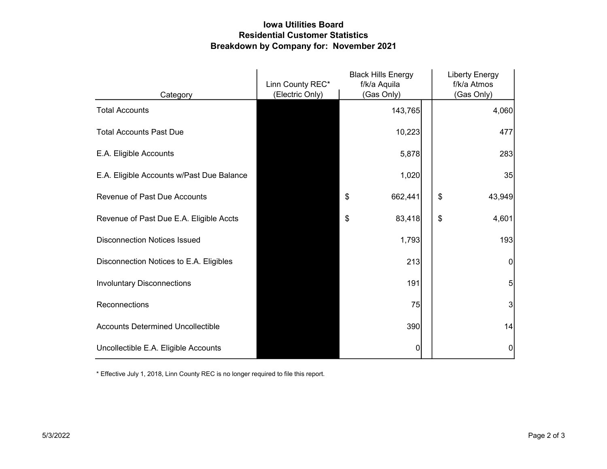## Iowa Utilities Board Residential Customer Statistics Breakdown by Company for: November 2021

|                                           | Linn County REC* | <b>Black Hills Energy</b><br>f/k/a Aquila | <b>Liberty Energy</b><br>f/k/a Atmos |  |
|-------------------------------------------|------------------|-------------------------------------------|--------------------------------------|--|
| Category                                  | (Electric Only)  | (Gas Only)                                | (Gas Only)                           |  |
| <b>Total Accounts</b>                     |                  | 143,765                                   | 4,060                                |  |
| <b>Total Accounts Past Due</b>            |                  | 10,223                                    | 477                                  |  |
| E.A. Eligible Accounts                    |                  | 5,878                                     | 283                                  |  |
| E.A. Eligible Accounts w/Past Due Balance |                  | 1,020                                     | 35                                   |  |
| <b>Revenue of Past Due Accounts</b>       |                  | \$<br>662,441                             | \$<br>43,949                         |  |
| Revenue of Past Due E.A. Eligible Accts   |                  | 83,418<br>\$                              | \$<br>4,601                          |  |
| <b>Disconnection Notices Issued</b>       |                  | 1,793                                     | 193                                  |  |
| Disconnection Notices to E.A. Eligibles   |                  | 213                                       | $\overline{0}$                       |  |
| <b>Involuntary Disconnections</b>         |                  | 191                                       | 5                                    |  |
| Reconnections                             |                  | 75                                        | 3                                    |  |
| <b>Accounts Determined Uncollectible</b>  |                  | 390                                       | 14                                   |  |
| Uncollectible E.A. Eligible Accounts      |                  | 0                                         | 0                                    |  |

\* Effective July 1, 2018, Linn County REC is no longer required to file this report.